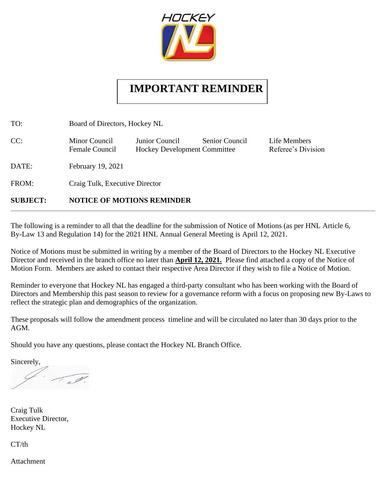

## **IMPORTANT REMINDER**

TO: Board of Directors, Hockey NL CC: Minor Council Junior Council Senior Council Life Members Female Council Hockey Development Committee Referee's Division DATE: February 19, 2021 FROM: Craig Tulk, Executive Director

## **SUBJECT: NOTICE OF MOTIONS REMINDER**

The following is a reminder to all that the deadline for the submission of Notice of Motions (as per HNL Article 6, By-Law 13 and Regulation 14) for the 2021 HNL Annual General Meeting is April 12, 2021.

Notice of Motions must be submitted in writing by a member of the Board of Directors to the Hockey NL Executive Director and received in the branch office no later than **April 12, 2021.** Please find attached a copy of the Notice of Motion Form. Members are asked to contact their respective Area Director if they wish to file a Notice of Motion.

Reminder to everyone that Hockey NL has engaged a third-party consultant who has been working with the Board of Directors and Membership this past season to review for a governance reform with a focus on proposing new By-Laws to reflect the strategic plan and demographics of the organization.

These proposals will follow the amendment process timeline and will be circulated no later than 30 days prior to the AGM.

Should you have any questions, please contact the Hockey NL Branch Office.

Sincerely,

 $\begin{equation*} \begin{aligned} \mathscr{M} \end{aligned} \end{equation*}$ 

Craig Tulk Executive Director, Hockey NL

CT/th

Attachment